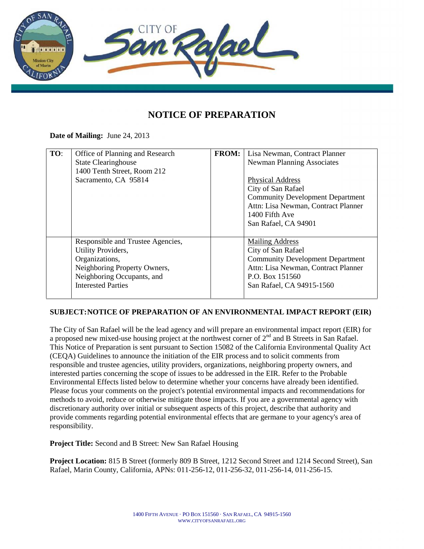

## **NOTICE OF PREPARATION**

**Date of Mailing:** June 24, 2013

| TO: | Office of Planning and Research   | <b>FROM:</b> | Lisa Newman, Contract Planner           |
|-----|-----------------------------------|--------------|-----------------------------------------|
|     | <b>State Clearinghouse</b>        |              | <b>Newman Planning Associates</b>       |
|     | 1400 Tenth Street, Room 212       |              |                                         |
|     | Sacramento, CA 95814              |              | <b>Physical Address</b>                 |
|     |                                   |              | City of San Rafael                      |
|     |                                   |              | <b>Community Development Department</b> |
|     |                                   |              | Attn: Lisa Newman, Contract Planner     |
|     |                                   |              | 1400 Fifth Ave                          |
|     |                                   |              | San Rafael, CA 94901                    |
|     |                                   |              |                                         |
|     | Responsible and Trustee Agencies, |              | <b>Mailing Address</b>                  |
|     | Utility Providers,                |              | City of San Rafael                      |
|     | Organizations,                    |              | <b>Community Development Department</b> |
|     | Neighboring Property Owners,      |              | Attn: Lisa Newman, Contract Planner     |
|     | Neighboring Occupants, and        |              | P.O. Box 151560                         |
|     | <b>Interested Parties</b>         |              | San Rafael, CA 94915-1560               |
|     |                                   |              |                                         |

## **SUBJECT:NOTICE OF PREPARATION OF AN ENVIRONMENTAL IMPACT REPORT (EIR)**

The City of San Rafael will be the lead agency and will prepare an environmental impact report (EIR) for a proposed new mixed-use housing project at the northwest corner of 2<sup>nd</sup> and B Streets in San Rafael. This Notice of Preparation is sent pursuant to Section 15082 of the California Environmental Quality Act (CEQA) Guidelines to announce the initiation of the EIR process and to solicit comments from responsible and trustee agencies, utility providers, organizations, neighboring property owners, and interested parties concerning the scope of issues to be addressed in the EIR. Refer to the Probable Environmental Effects listed below to determine whether your concerns have already been identified. Please focus your comments on the project's potential environmental impacts and recommendations for methods to avoid, reduce or otherwise mitigate those impacts. If you are a governmental agency with discretionary authority over initial or subsequent aspects of this project, describe that authority and provide comments regarding potential environmental effects that are germane to your agency's area of responsibility.

**Project Title:** Second and B Street: New San Rafael Housing

**Project Location:** 815 B Street (formerly 809 B Street, 1212 Second Street and 1214 Second Street), San Rafael, Marin County, California, APNs: 011-256-12, 011-256-32, 011-256-14, 011-256-15.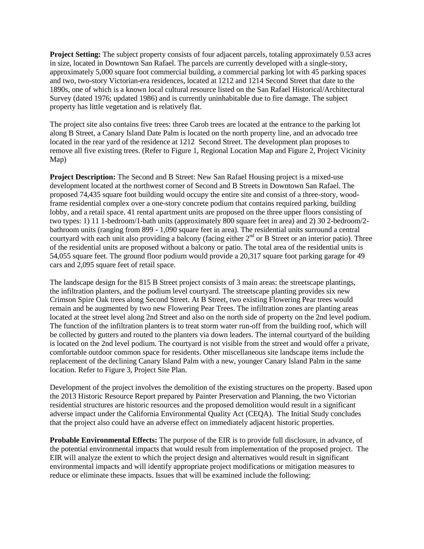**Project Setting:** The subject property consists of four adjacent parcels, totaling approximately 0.53 acres in size, located in Downtown San Rafael. The parcels are currently developed with a single-story, approximately 5,000 square foot commercial building, a commercial parking lot with 45 parking spaces and two, two-story Victorian-era residences, located at 1212 and 1214 Second Street that date to the 1890s, one of which is a known local cultural resource listed on the San Rafael Historical/Architectural Survey (dated 1976; updated 1986) and is currently uninhabitable due to fire damage. The subject property has little vegetation and is relatively flat.

The project site also contains five trees: three Carob trees are located at the entrance to the parking lot along B Street, a Canary Island Date Palm is located on the north property line, and an advocado tree located in the rear yard of the residence at 1212 Second Street. The development plan proposes to remove all five existing trees. (Refer to Figure 1, Regional Location Map and Figure 2, Project Vicinity Map)

**Project Description:** The Second and B Street: New San Rafael Housing project is a mixed-use development located at the northwest corner of Second and B Streets in Downtown San Rafael. The proposed 74,435 square foot building would occupy the entire site and consist of a three-story, woodframe residential complex over a one-story concrete podium that contains required parking, building lobby, and a retail space. 41 rental apartment units are proposed on the three upper floors consisting of two types: 1) 11 1-bedroom/1-bath units (approximately 800 square feet in area) and 2) 30 2-bedroom/2 bathroom units (ranging from 899 - 1,090 square feet in area). The residential units surround a central courtyard with each unit also providing a balcony (facing either  $2<sup>nd</sup>$  or B Street or an interior patio). Three of the residential units are proposed without a balcony or patio. The total area of the residential units is 54,055 square feet. The ground floor podium would provide a 20,317 square foot parking garage for 49 cars and 2,095 square feet of retail space.

The landscape design for the 815 B Street project consists of 3 main areas: the streetscape plantings, the infiltration planters, and the podium level courtyard. The streetscape planting provides six new Crimson Spire Oak trees along Second Street. At B Street, two existing Flowering Pear trees would remain and be augmented by two new Flowering Pear Trees. The infiltration zones are planting areas located at the street level along 2nd Street and also on the north side of property on the 2nd level podium. The function of the infiltration planters is to treat storm water run-off from the building roof, which will be collected by gutters and routed to the planters via down leaders. The internal courtyard of the building is located on the 2nd level podium. The courtyard is not visible from the street and would offer a private, comfortable outdoor common space for residents. Other miscellaneous site landscape items include the replacement of the declining Canary Island Palm with a new, younger Canary Island Palm in the same location. Refer to Figure 3, Project Site Plan.

Development of the project involves the demolition of the existing structures on the property. Based upon the 2013 Historic Resource Report prepared by Painter Preservation and Planning, the two Victorian residential structures are historic resources and the proposed demolition would result in a significant adverse impact under the California Environmental Quality Act (CEQA). The Initial Study concludes that the project also could have an adverse effect on immediately adjacent historic properties.

**Probable Environmental Effects:** The purpose of the EIR is to provide full disclosure, in advance, of the potential environmental impacts that would result from implementation of the proposed project. The EIR will analyze the extent to which the project design and alternatives would result in significant environmental impacts and will identify appropriate project modifications or mitigation measures to reduce or eliminate these impacts. Issues that will be examined include the following: